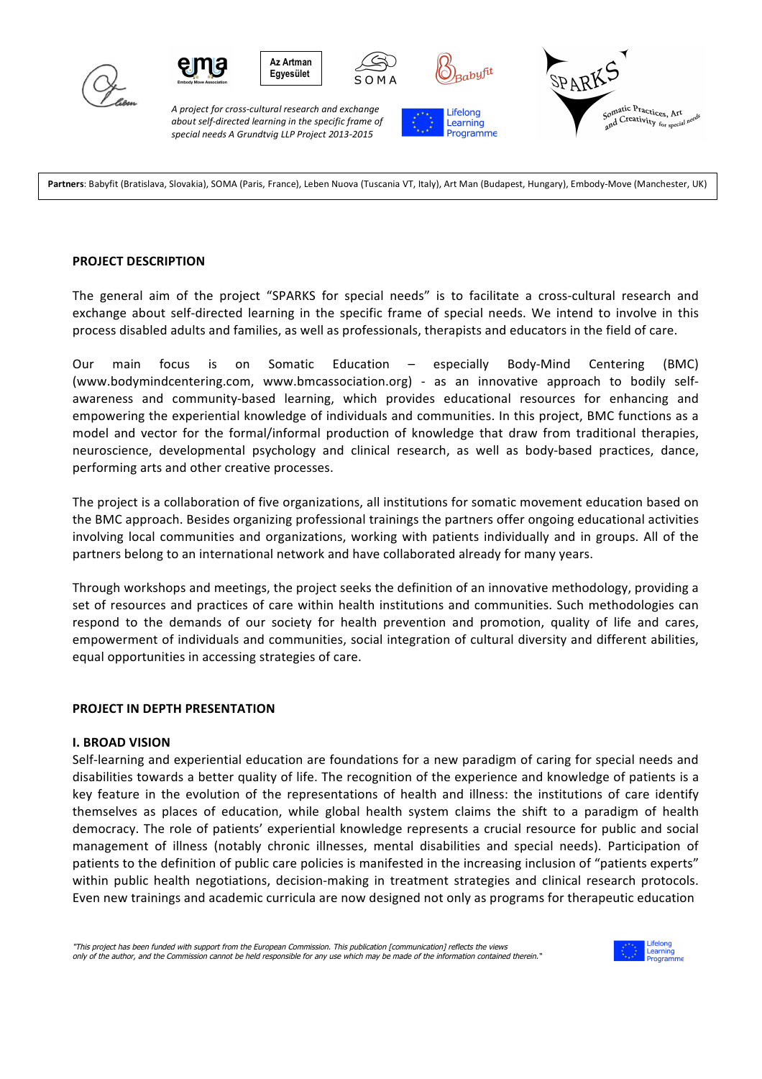





*A project for cross-cultural research and exchange*  about self-directed learning in the specific frame of *special needs A Grundtvig LLP Project 2013-2015*

**ről**

Lifelong

Learning Programme



Partners: Babyfit (Bratislava, Slovakia), SOMA (Paris, France), Leben Nuova (Tuscania VT, Italy), Art Man (Budapest, Hungary), Embody-Move (Manchester, UK)

#### **PROJECT DESCRIPTION**

The general aim of the project "SPARKS for special needs" is to facilitate a cross-cultural research and exchange about self-directed learning in the specific frame of special needs. We intend to involve in this process disabled adults and families, as well as professionals, therapists and educators in the field of care.

Our main focus is on Somatic Education – especially Body-Mind Centering (BMC) (www.bodymindcentering.com, www.bmcassociation.org) - as an innovative approach to bodily selfawareness and community-based learning, which provides educational resources for enhancing and empowering the experiential knowledge of individuals and communities. In this project, BMC functions as a model and vector for the formal/informal production of knowledge that draw from traditional therapies, neuroscience, developmental psychology and clinical research, as well as body-based practices, dance, performing arts and other creative processes.

The project is a collaboration of five organizations, all institutions for somatic movement education based on the BMC approach. Besides organizing professional trainings the partners offer ongoing educational activities involving local communities and organizations, working with patients individually and in groups. All of the partners belong to an international network and have collaborated already for many years.

Through workshops and meetings, the project seeks the definition of an innovative methodology, providing a set of resources and practices of care within health institutions and communities. Such methodologies can respond to the demands of our society for health prevention and promotion, quality of life and cares, empowerment of individuals and communities, social integration of cultural diversity and different abilities, equal opportunities in accessing strategies of care.

### **PROJECT IN DEPTH PRESENTATION**

### **I. BROAD VISION**

Self-learning and experiential education are foundations for a new paradigm of caring for special needs and disabilities towards a better quality of life. The recognition of the experience and knowledge of patients is a key feature in the evolution of the representations of health and illness: the institutions of care identify themselves as places of education, while global health system claims the shift to a paradigm of health democracy. The role of patients' experiential knowledge represents a crucial resource for public and social management of illness (notably chronic illnesses, mental disabilities and special needs). Participation of patients to the definition of public care policies is manifested in the increasing inclusion of "patients experts" within public health negotiations, decision-making in treatment strategies and clinical research protocols. Even new trainings and academic curricula are now designed not only as programs for therapeutic education

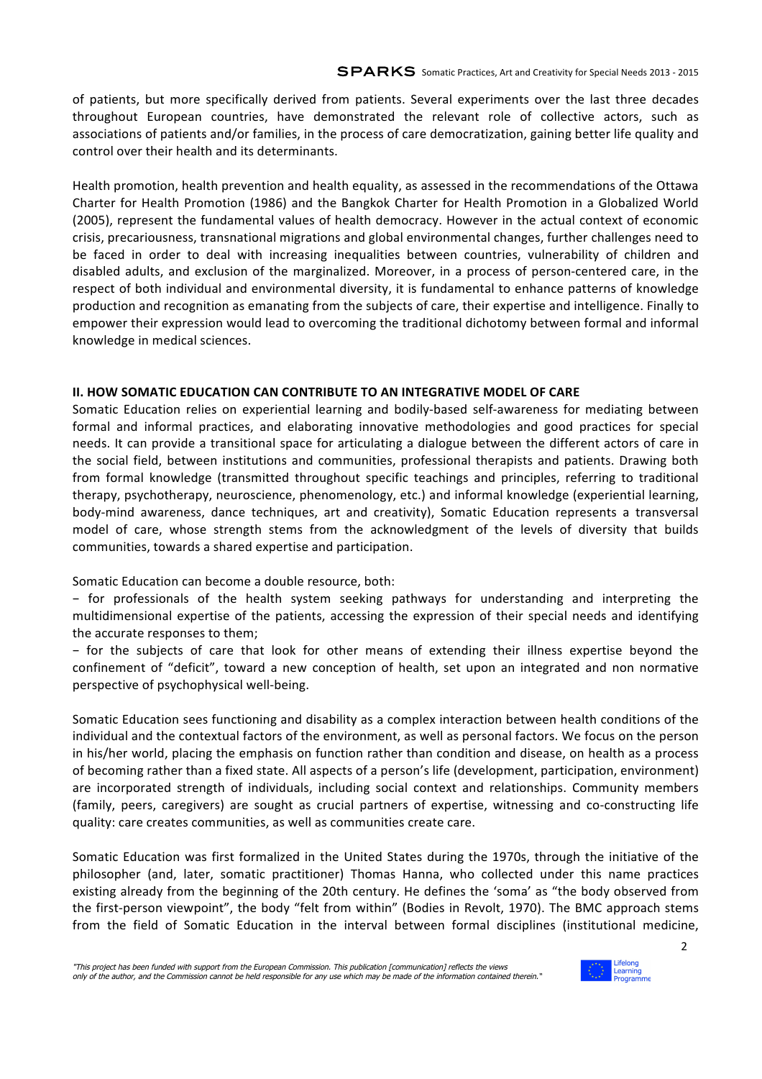of patients, but more specifically derived from patients. Several experiments over the last three decades throughout European countries, have demonstrated the relevant role of collective actors, such as associations of patients and/or families, in the process of care democratization, gaining better life quality and control over their health and its determinants.

Health promotion, health prevention and health equality, as assessed in the recommendations of the Ottawa Charter for Health Promotion (1986) and the Bangkok Charter for Health Promotion in a Globalized World (2005), represent the fundamental values of health democracy. However in the actual context of economic crisis, precariousness, transnational migrations and global environmental changes, further challenges need to be faced in order to deal with increasing inequalities between countries, vulnerability of children and disabled adults, and exclusion of the marginalized. Moreover, in a process of person-centered care, in the respect of both individual and environmental diversity, it is fundamental to enhance patterns of knowledge production and recognition as emanating from the subjects of care, their expertise and intelligence. Finally to empower their expression would lead to overcoming the traditional dichotomy between formal and informal knowledge in medical sciences.

## **II. HOW SOMATIC EDUCATION CAN CONTRIBUTE TO AN INTEGRATIVE MODEL OF CARE**

Somatic Education relies on experiential learning and bodily-based self-awareness for mediating between formal and informal practices, and elaborating innovative methodologies and good practices for special needs. It can provide a transitional space for articulating a dialogue between the different actors of care in the social field, between institutions and communities, professional therapists and patients. Drawing both from formal knowledge (transmitted throughout specific teachings and principles, referring to traditional therapy, psychotherapy, neuroscience, phenomenology, etc.) and informal knowledge (experiential learning, body-mind awareness, dance techniques, art and creativity), Somatic Education represents a transversal model of care, whose strength stems from the acknowledgment of the levels of diversity that builds communities, towards a shared expertise and participation.

Somatic Education can become a double resource, both:

− for professionals of the health system seeking pathways for understanding and interpreting the multidimensional expertise of the patients, accessing the expression of their special needs and identifying the accurate responses to them;

− for the subjects of care that look for other means of extending their illness expertise beyond the confinement of "deficit", toward a new conception of health, set upon an integrated and non normative perspective of psychophysical well-being.

Somatic Education sees functioning and disability as a complex interaction between health conditions of the individual and the contextual factors of the environment, as well as personal factors. We focus on the person in his/her world, placing the emphasis on function rather than condition and disease, on health as a process of becoming rather than a fixed state. All aspects of a person's life (development, participation, environment) are incorporated strength of individuals, including social context and relationships. Community members (family, peers, caregivers) are sought as crucial partners of expertise, witnessing and co-constructing life quality: care creates communities, as well as communities create care.

Somatic Education was first formalized in the United States during the 1970s, through the initiative of the philosopher (and, later, somatic practitioner) Thomas Hanna, who collected under this name practices existing already from the beginning of the 20th century. He defines the 'soma' as "the body observed from the first-person viewpoint", the body "felt from within" (Bodies in Revolt, 1970). The BMC approach stems from the field of Somatic Education in the interval between formal disciplines (institutional medicine,



2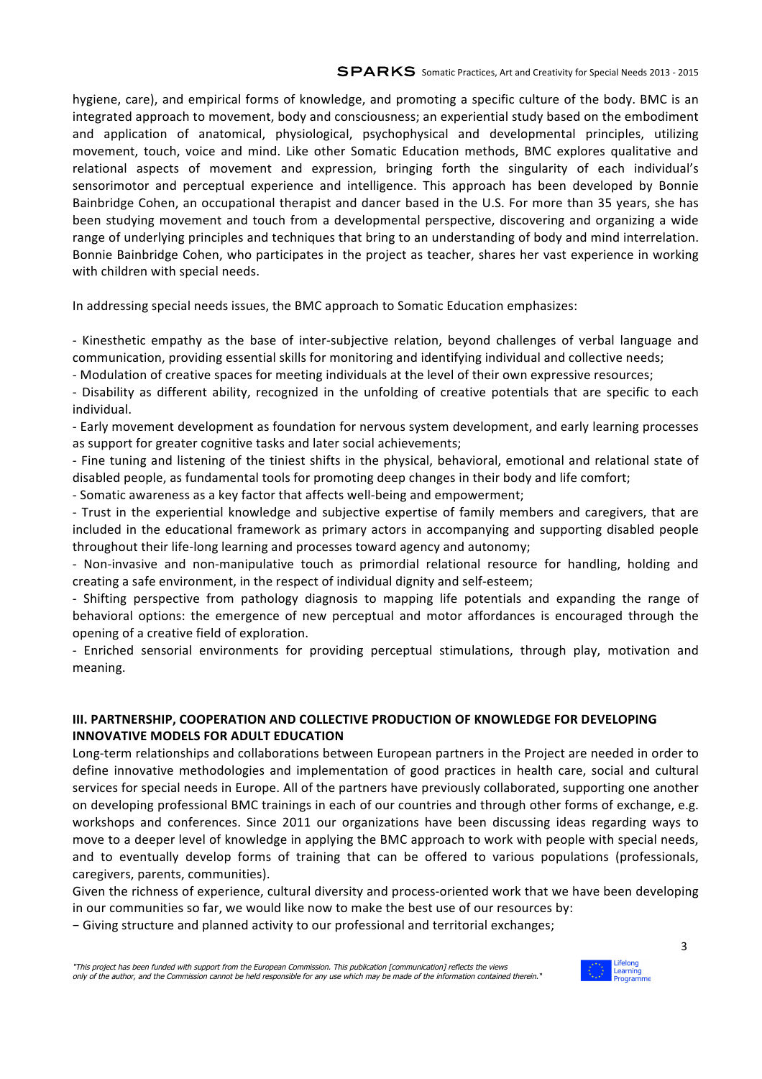hygiene, care), and empirical forms of knowledge, and promoting a specific culture of the body. BMC is an integrated approach to movement, body and consciousness; an experiential study based on the embodiment and application of anatomical, physiological, psychophysical and developmental principles, utilizing movement, touch, voice and mind. Like other Somatic Education methods, BMC explores qualitative and relational aspects of movement and expression, bringing forth the singularity of each individual's sensorimotor and perceptual experience and intelligence. This approach has been developed by Bonnie Bainbridge Cohen, an occupational therapist and dancer based in the U.S. For more than 35 years, she has been studying movement and touch from a developmental perspective, discovering and organizing a wide range of underlying principles and techniques that bring to an understanding of body and mind interrelation. Bonnie Bainbridge Cohen, who participates in the project as teacher, shares her vast experience in working with children with special needs.

In addressing special needs issues, the BMC approach to Somatic Education emphasizes:

- Kinesthetic empathy as the base of inter-subjective relation, beyond challenges of verbal language and communication, providing essential skills for monitoring and identifying individual and collective needs;

- Modulation of creative spaces for meeting individuals at the level of their own expressive resources;

- Disability as different ability, recognized in the unfolding of creative potentials that are specific to each individual.

- Early movement development as foundation for nervous system development, and early learning processes as support for greater cognitive tasks and later social achievements;

- Fine tuning and listening of the tiniest shifts in the physical, behavioral, emotional and relational state of disabled people, as fundamental tools for promoting deep changes in their body and life comfort;

- Somatic awareness as a key factor that affects well-being and empowerment;

- Trust in the experiential knowledge and subjective expertise of family members and caregivers, that are included in the educational framework as primary actors in accompanying and supporting disabled people throughout their life-long learning and processes toward agency and autonomy;

- Non-invasive and non-manipulative touch as primordial relational resource for handling, holding and creating a safe environment, in the respect of individual dignity and self-esteem;

- Shifting perspective from pathology diagnosis to mapping life potentials and expanding the range of behavioral options: the emergence of new perceptual and motor affordances is encouraged through the opening of a creative field of exploration.

- Enriched sensorial environments for providing perceptual stimulations, through play, motivation and meaning.

## **III. PARTNERSHIP, COOPERATION AND COLLECTIVE PRODUCTION OF KNOWLEDGE FOR DEVELOPING INNOVATIVE MODELS FOR ADULT EDUCATION**

Long-term relationships and collaborations between European partners in the Project are needed in order to define innovative methodologies and implementation of good practices in health care, social and cultural services for special needs in Europe. All of the partners have previously collaborated, supporting one another on developing professional BMC trainings in each of our countries and through other forms of exchange, e.g. workshops and conferences. Since 2011 our organizations have been discussing ideas regarding ways to move to a deeper level of knowledge in applying the BMC approach to work with people with special needs, and to eventually develop forms of training that can be offered to various populations (professionals, caregivers, parents, communities).

Given the richness of experience, cultural diversity and process-oriented work that we have been developing in our communities so far, we would like now to make the best use of our resources by:

− Giving structure and planned activity to our professional and territorial exchanges;



3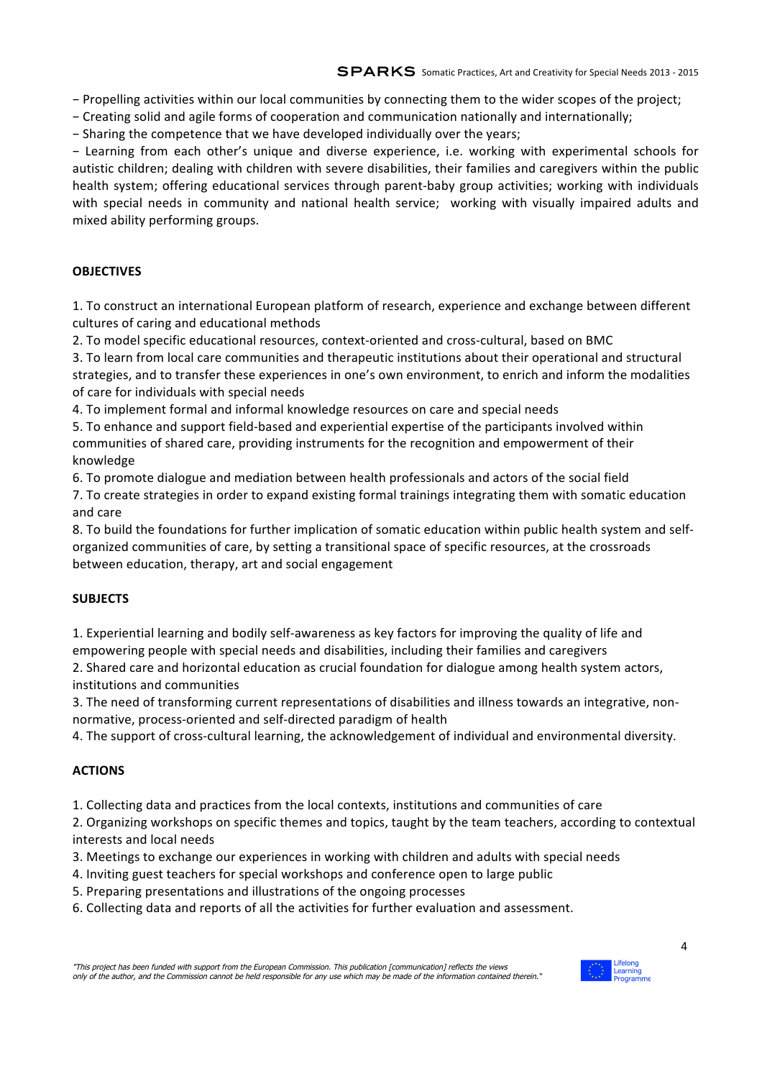− Propelling activities within our local communities by connecting them to the wider scopes of the project;

− Creating solid and agile forms of cooperation and communication nationally and internationally;

− Sharing the competence that we have developed individually over the years;

− Learning from each other's unique and diverse experience, i.e. working with experimental schools for autistic children; dealing with children with severe disabilities, their families and caregivers within the public health system; offering educational services through parent-baby group activities; working with individuals with special needs in community and national health service; working with visually impaired adults and mixed ability performing groups.

# **OBJECTIVES**

1. To construct an international European platform of research, experience and exchange between different cultures of caring and educational methods

2. To model specific educational resources, context-oriented and cross-cultural, based on BMC

3. To learn from local care communities and therapeutic institutions about their operational and structural strategies, and to transfer these experiences in one's own environment, to enrich and inform the modalities of care for individuals with special needs

4. To implement formal and informal knowledge resources on care and special needs

5. To enhance and support field-based and experiential expertise of the participants involved within communities of shared care, providing instruments for the recognition and empowerment of their knowledge 

6. To promote dialogue and mediation between health professionals and actors of the social field

7. To create strategies in order to expand existing formal trainings integrating them with somatic education and care

8. To build the foundations for further implication of somatic education within public health system and selforganized communities of care, by setting a transitional space of specific resources, at the crossroads between education, therapy, art and social engagement

# **SUBJECTS**

1. Experiential learning and bodily self-awareness as key factors for improving the quality of life and empowering people with special needs and disabilities, including their families and caregivers

2. Shared care and horizontal education as crucial foundation for dialogue among health system actors, institutions and communities

3. The need of transforming current representations of disabilities and illness towards an integrative, nonnormative, process-oriented and self-directed paradigm of health

4. The support of cross-cultural learning, the acknowledgement of individual and environmental diversity.

# **ACTIONS**

1. Collecting data and practices from the local contexts, institutions and communities of care

2. Organizing workshops on specific themes and topics, taught by the team teachers, according to contextual interests and local needs

3. Meetings to exchange our experiences in working with children and adults with special needs

- 4. Inviting guest teachers for special workshops and conference open to large public
- 5. Preparing presentations and illustrations of the ongoing processes
- 6. Collecting data and reports of all the activities for further evaluation and assessment.